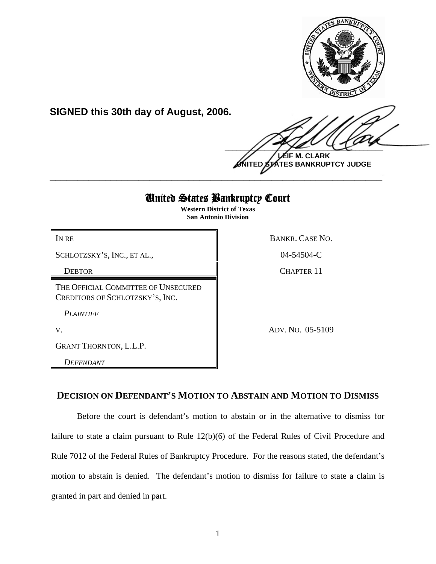

**SIGNED this 30th day of August, 2006.**

 $\frac{1}{2}$ **LEIF M. CLARK**

**UNITED STATES BANKRUPTCY JUDGE \_\_\_\_\_\_\_\_\_\_\_\_\_\_\_\_\_\_\_\_\_\_\_\_\_\_\_\_\_\_\_\_\_\_\_\_\_\_\_\_\_\_\_\_\_\_\_\_\_\_\_\_\_\_\_\_\_\_\_\_**

# United States Bankruptcy Court

**Western District of Texas San Antonio Division**

SCHLOTZSKY'S, INC., ET AL., 1998 104-54504-C

THE OFFICIAL COMMITTEE OF UNSECURED CREDITORS OF SCHLOTZSKY'S, INC.

*PLAINTIFF*

GRANT THORNTON, L.L.P.

*DEFENDANT*

IN RE BANKR. CASE NO.

DEBTOR CHAPTER 11

V. ADV. NO. 05-5109

# **DECISION ON DEFENDANT'S MOTION TO ABSTAIN AND MOTION TO DISMISS**

Before the court is defendant's motion to abstain or in the alternative to dismiss for failure to state a claim pursuant to Rule 12(b)(6) of the Federal Rules of Civil Procedure and Rule 7012 of the Federal Rules of Bankruptcy Procedure. For the reasons stated, the defendant's motion to abstain is denied. The defendant's motion to dismiss for failure to state a claim is granted in part and denied in part.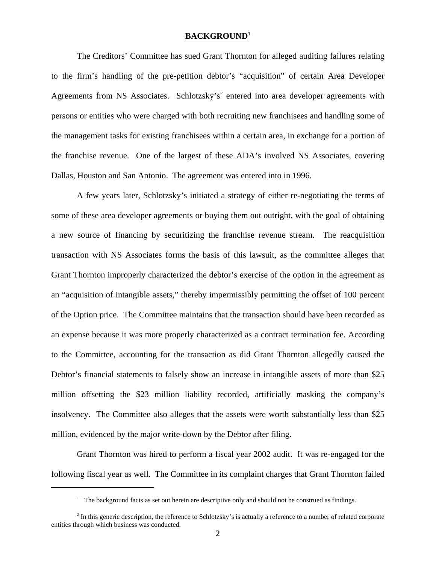## **BACKGROUND1**

The Creditors' Committee has sued Grant Thornton for alleged auditing failures relating to the firm's handling of the pre-petition debtor's "acquisition" of certain Area Developer Agreements from NS Associates. Schlotzsky's<sup>2</sup> entered into area developer agreements with persons or entities who were charged with both recruiting new franchisees and handling some of the management tasks for existing franchisees within a certain area, in exchange for a portion of the franchise revenue. One of the largest of these ADA's involved NS Associates, covering Dallas, Houston and San Antonio. The agreement was entered into in 1996.

A few years later, Schlotzsky's initiated a strategy of either re-negotiating the terms of some of these area developer agreements or buying them out outright, with the goal of obtaining a new source of financing by securitizing the franchise revenue stream. The reacquisition transaction with NS Associates forms the basis of this lawsuit, as the committee alleges that Grant Thornton improperly characterized the debtor's exercise of the option in the agreement as an "acquisition of intangible assets," thereby impermissibly permitting the offset of 100 percent of the Option price. The Committee maintains that the transaction should have been recorded as an expense because it was more properly characterized as a contract termination fee. According to the Committee, accounting for the transaction as did Grant Thornton allegedly caused the Debtor's financial statements to falsely show an increase in intangible assets of more than \$25 million offsetting the \$23 million liability recorded, artificially masking the company's insolvency. The Committee also alleges that the assets were worth substantially less than \$25 million, evidenced by the major write-down by the Debtor after filing.

Grant Thornton was hired to perform a fiscal year 2002 audit. It was re-engaged for the following fiscal year as well. The Committee in its complaint charges that Grant Thornton failed

<sup>&</sup>lt;sup>1</sup> The background facts as set out herein are descriptive only and should not be construed as findings.

 $<sup>2</sup>$  In this generic description, the reference to Schlotzsky's is actually a reference to a number of related corporate</sup> entities through which business was conducted.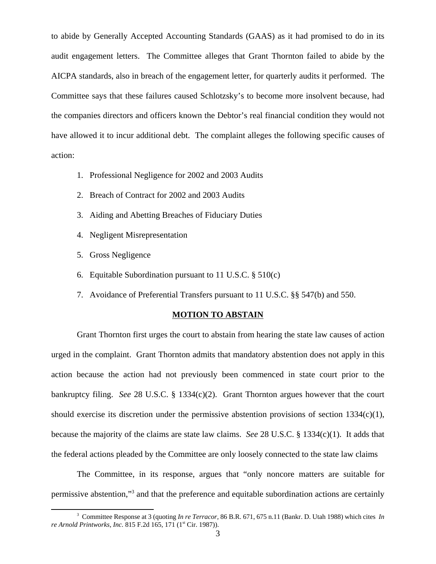to abide by Generally Accepted Accounting Standards (GAAS) as it had promised to do in its audit engagement letters. The Committee alleges that Grant Thornton failed to abide by the AICPA standards, also in breach of the engagement letter, for quarterly audits it performed. The Committee says that these failures caused Schlotzsky's to become more insolvent because, had the companies directors and officers known the Debtor's real financial condition they would not have allowed it to incur additional debt. The complaint alleges the following specific causes of action:

- 1. Professional Negligence for 2002 and 2003 Audits
- 2. Breach of Contract for 2002 and 2003 Audits
- 3. Aiding and Abetting Breaches of Fiduciary Duties
- 4. Negligent Misrepresentation
- 5. Gross Negligence
- 6. Equitable Subordination pursuant to 11 U.S.C. § 510(c)
- 7. Avoidance of Preferential Transfers pursuant to 11 U.S.C. §§ 547(b) and 550.

#### **MOTION TO ABSTAIN**

Grant Thornton first urges the court to abstain from hearing the state law causes of action urged in the complaint. Grant Thornton admits that mandatory abstention does not apply in this action because the action had not previously been commenced in state court prior to the bankruptcy filing. *See* 28 U.S.C. § 1334(c)(2). Grant Thornton argues however that the court should exercise its discretion under the permissive abstention provisions of section 1334(c)(1), because the majority of the claims are state law claims. *See* 28 U.S.C. § 1334(c)(1). It adds that the federal actions pleaded by the Committee are only loosely connected to the state law claims

The Committee, in its response, argues that "only noncore matters are suitable for permissive abstention,"<sup>3</sup> and that the preference and equitable subordination actions are certainly

<sup>3</sup> Committee Response at 3 (quoting *In re Terracor,* 86 B.R. 671, 675 n.11 (Bankr. D. Utah 1988) which cites *In re Arnold Printworks, Inc.* 815 F.2d 165, 171 (1<sup>st</sup> Cir. 1987)).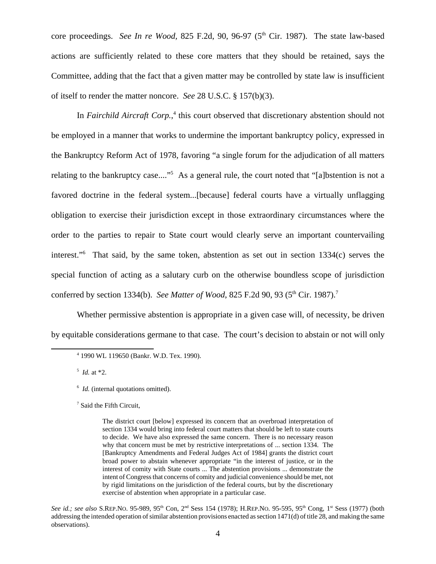core proceedings. *See In re Wood*, 825 F.2d, 90, 96-97 (5<sup>th</sup> Cir. 1987). The state law-based actions are sufficiently related to these core matters that they should be retained, says the Committee, adding that the fact that a given matter may be controlled by state law is insufficient of itself to render the matter noncore. *See* 28 U.S.C. § 157(b)(3).

In *Fairchild Aircraft Corp.*,<sup>4</sup> this court observed that discretionary abstention should not be employed in a manner that works to undermine the important bankruptcy policy, expressed in the Bankruptcy Reform Act of 1978, favoring "a single forum for the adjudication of all matters relating to the bankruptcy case...."<sup>5</sup> As a general rule, the court noted that "[a]bstention is not a favored doctrine in the federal system...[because] federal courts have a virtually unflagging obligation to exercise their jurisdiction except in those extraordinary circumstances where the order to the parties to repair to State court would clearly serve an important countervailing interest."6 That said, by the same token, abstention as set out in section 1334(c) serves the special function of acting as a salutary curb on the otherwise boundless scope of jurisdiction conferred by section 1334(b). *See Matter of Wood*, 825 F.2d 90, 93 (5<sup>th</sup> Cir. 1987).<sup>7</sup>

Whether permissive abstention is appropriate in a given case will, of necessity, be driven by equitable considerations germane to that case. The court's decision to abstain or not will only

5 *Id.* at \*2.

7 Said the Fifth Circuit,

<sup>4</sup> 1990 WL 119650 (Bankr. W.D. Tex. 1990).

<sup>&</sup>lt;sup>6</sup> *Id.* (internal quotations omitted).

The district court [below] expressed its concern that an overbroad interpretation of section 1334 would bring into federal court matters that should be left to state courts to decide. We have also expressed the same concern. There is no necessary reason why that concern must be met by restrictive interpretations of ... section 1334. The [Bankruptcy Amendments and Federal Judges Act of 1984] grants the district court broad power to abstain whenever appropriate "in the interest of justice, or in the interest of comity with State courts ... The abstention provisions ... demonstrate the intent of Congress that concerns of comity and judicial convenience should be met, not by rigid limitations on the jurisdiction of the federal courts, but by the discretionary exercise of abstention when appropriate in a particular case.

See id.; see also S.REP.NO. 95-989, 95<sup>th</sup> Con, 2<sup>nd</sup> Sess 154 (1978); H.REP.NO. 95-595, 95<sup>th</sup> Cong, 1<sup>st</sup> Sess (1977) (both addressing the intended operation of similar abstention provisions enacted as section 1471(d) of title 28, and making the same observations).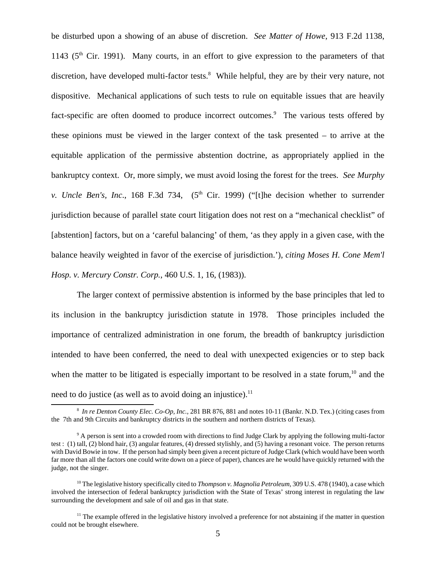be disturbed upon a showing of an abuse of discretion. *See Matter of Howe*, 913 F.2d 1138, 1143 ( $5<sup>th</sup>$  Cir. 1991). Many courts, in an effort to give expression to the parameters of that discretion, have developed multi-factor tests.<sup>8</sup> While helpful, they are by their very nature, not dispositive. Mechanical applications of such tests to rule on equitable issues that are heavily fact-specific are often doomed to produce incorrect outcomes.<sup>9</sup> The various tests offered by these opinions must be viewed in the larger context of the task presented – to arrive at the equitable application of the permissive abstention doctrine, as appropriately applied in the bankruptcy context. Or, more simply, we must avoid losing the forest for the trees. *See Murphy v. Uncle Ben's, Inc.*, 168 F.3d 734, (5<sup>th</sup> Cir. 1999) ("[t]he decision whether to surrender jurisdiction because of parallel state court litigation does not rest on a "mechanical checklist" of [abstention] factors, but on a 'careful balancing' of them, 'as they apply in a given case, with the balance heavily weighted in favor of the exercise of jurisdiction.'), *citing Moses H. Cone Mem'l Hosp. v. Mercury Constr. Corp.*, 460 U.S. 1, 16, (1983)).

The larger context of permissive abstention is informed by the base principles that led to its inclusion in the bankruptcy jurisdiction statute in 1978. Those principles included the importance of centralized administration in one forum, the breadth of bankruptcy jurisdiction intended to have been conferred, the need to deal with unexpected exigencies or to step back when the matter to be litigated is especially important to be resolved in a state forum,<sup>10</sup> and the need to do justice (as well as to avoid doing an injustice).<sup>11</sup>

<sup>8</sup> *In re Denton County Elec. Co-Op, Inc.,* 281 BR 876, 881 and notes 10-11 (Bankr. N.D. Tex.) (citing cases from the 7th and 9th Circuits and bankruptcy districts in the southern and northern districts of Texas).

<sup>&</sup>lt;sup>9</sup> A person is sent into a crowded room with directions to find Judge Clark by applying the following multi-factor test : (1) tall, (2) blond hair, (3) angular features, (4) dressed stylishly, and (5) having a resonant voice. The person returns with David Bowie in tow. If the person had simply been given a recent picture of Judge Clark (which would have been worth far more than all the factors one could write down on a piece of paper), chances are he would have quickly returned with the judge, not the singer.

<sup>10</sup> The legislative history specifically cited to *Thompson v. Magnolia Petroleum*, 309 U.S. 478 (1940), a case which involved the intersection of federal bankruptcy jurisdiction with the State of Texas' strong interest in regulating the law surrounding the development and sale of oil and gas in that state.

<sup>&</sup>lt;sup>11</sup> The example offered in the legislative history involved a preference for not abstaining if the matter in question could not be brought elsewhere.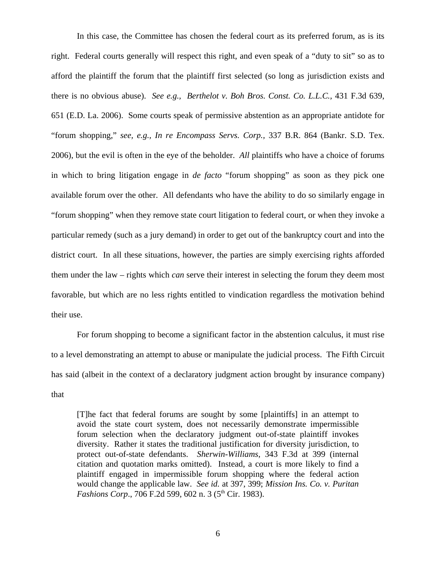In this case, the Committee has chosen the federal court as its preferred forum, as is its right. Federal courts generally will respect this right, and even speak of a "duty to sit" so as to afford the plaintiff the forum that the plaintiff first selected (so long as jurisdiction exists and there is no obvious abuse). *See e.g., Berthelot v. Boh Bros. Const. Co. L.L.C.,* 431 F.3d 639, 651 (E.D. La. 2006). Some courts speak of permissive abstention as an appropriate antidote for "forum shopping," *see, e.g., In re Encompass Servs. Corp.,* 337 B.R. 864 (Bankr. S.D. Tex. 2006), but the evil is often in the eye of the beholder. *All* plaintiffs who have a choice of forums in which to bring litigation engage in *de facto* "forum shopping" as soon as they pick one available forum over the other. All defendants who have the ability to do so similarly engage in "forum shopping" when they remove state court litigation to federal court, or when they invoke a particular remedy (such as a jury demand) in order to get out of the bankruptcy court and into the district court. In all these situations, however, the parties are simply exercising rights afforded them under the law – rights which *can* serve their interest in selecting the forum they deem most favorable, but which are no less rights entitled to vindication regardless the motivation behind their use.

For forum shopping to become a significant factor in the abstention calculus, it must rise to a level demonstrating an attempt to abuse or manipulate the judicial process. The Fifth Circuit has said (albeit in the context of a declaratory judgment action brought by insurance company) that

[T]he fact that federal forums are sought by some [plaintiffs] in an attempt to avoid the state court system, does not necessarily demonstrate impermissible forum selection when the declaratory judgment out-of-state plaintiff invokes diversity. Rather it states the traditional justification for diversity jurisdiction, to protect out-of-state defendants. *Sherwin-Williams*, 343 F.3d at 399 (internal citation and quotation marks omitted). Instead, a court is more likely to find a plaintiff engaged in impermissible forum shopping where the federal action would change the applicable law. *See id.* at 397, 399; *Mission Ins. Co. v. Puritan Fashions Corp.*, 706 F.2d 599, 602 n. 3 (5<sup>th</sup> Cir. 1983).

6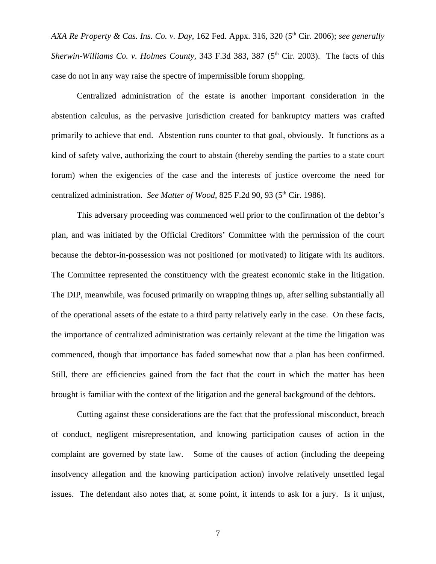*AXA Re Property & Cas. Ins. Co. v. Day*, 162 Fed. Appx. 316, 320 (5th Cir. 2006); *see generally Sherwin-Williams Co. v. Holmes County, 343 F.3d 383, 387 (5<sup>th</sup> Cir. 2003). The facts of this* case do not in any way raise the spectre of impermissible forum shopping.

Centralized administration of the estate is another important consideration in the abstention calculus, as the pervasive jurisdiction created for bankruptcy matters was crafted primarily to achieve that end. Abstention runs counter to that goal, obviously. It functions as a kind of safety valve, authorizing the court to abstain (thereby sending the parties to a state court forum) when the exigencies of the case and the interests of justice overcome the need for centralized administration. *See Matter of Wood*, 825 F.2d 90, 93 (5<sup>th</sup> Cir. 1986).

This adversary proceeding was commenced well prior to the confirmation of the debtor's plan, and was initiated by the Official Creditors' Committee with the permission of the court because the debtor-in-possession was not positioned (or motivated) to litigate with its auditors. The Committee represented the constituency with the greatest economic stake in the litigation. The DIP, meanwhile, was focused primarily on wrapping things up, after selling substantially all of the operational assets of the estate to a third party relatively early in the case. On these facts, the importance of centralized administration was certainly relevant at the time the litigation was commenced, though that importance has faded somewhat now that a plan has been confirmed. Still, there are efficiencies gained from the fact that the court in which the matter has been brought is familiar with the context of the litigation and the general background of the debtors.

Cutting against these considerations are the fact that the professional misconduct, breach of conduct, negligent misrepresentation, and knowing participation causes of action in the complaint are governed by state law. Some of the causes of action (including the deepeing insolvency allegation and the knowing participation action) involve relatively unsettled legal issues. The defendant also notes that, at some point, it intends to ask for a jury. Is it unjust,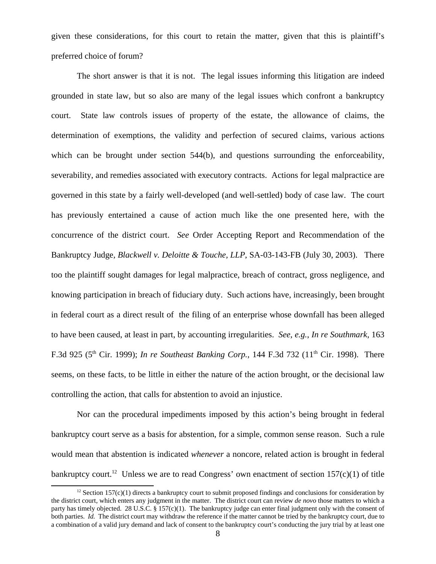given these considerations, for this court to retain the matter, given that this is plaintiff's preferred choice of forum?

The short answer is that it is not. The legal issues informing this litigation are indeed grounded in state law, but so also are many of the legal issues which confront a bankruptcy court. State law controls issues of property of the estate, the allowance of claims, the determination of exemptions, the validity and perfection of secured claims, various actions which can be brought under section 544(b), and questions surrounding the enforceability, severability, and remedies associated with executory contracts. Actions for legal malpractice are governed in this state by a fairly well-developed (and well-settled) body of case law. The court has previously entertained a cause of action much like the one presented here, with the concurrence of the district court. *See* Order Accepting Report and Recommendation of the Bankruptcy Judge, *Blackwell v. Deloitte & Touche, LLP*, SA-03-143-FB (July 30, 2003). There too the plaintiff sought damages for legal malpractice, breach of contract, gross negligence, and knowing participation in breach of fiduciary duty. Such actions have, increasingly, been brought in federal court as a direct result of the filing of an enterprise whose downfall has been alleged to have been caused, at least in part, by accounting irregularities. *See*, *e.g.*, *In re Southmark*, 163 F.3d 925 (5<sup>th</sup> Cir. 1999); *In re Southeast Banking Corp.*, 144 F.3d 732 (11<sup>th</sup> Cir. 1998). There seems, on these facts, to be little in either the nature of the action brought, or the decisional law controlling the action, that calls for abstention to avoid an injustice.

Nor can the procedural impediments imposed by this action's being brought in federal bankruptcy court serve as a basis for abstention, for a simple, common sense reason. Such a rule would mean that abstention is indicated *whenever* a noncore, related action is brought in federal bankruptcy court.<sup>12</sup> Unless we are to read Congress' own enactment of section  $157(c)(1)$  of title

<sup>&</sup>lt;sup>12</sup> Section 157(c)(1) directs a bankruptcy court to submit proposed findings and conclusions for consideration by the district court, which enters any judgment in the matter. The district court can review *de novo* those matters to which a party has timely objected. 28 U.S.C. § 157(c)(1). The bankruptcy judge can enter final judgment only with the consent of both parties. *Id.* The district court may withdraw the reference if the matter cannot be tried by the bankruptcy court, due to a combination of a valid jury demand and lack of consent to the bankruptcy court's conducting the jury trial by at least one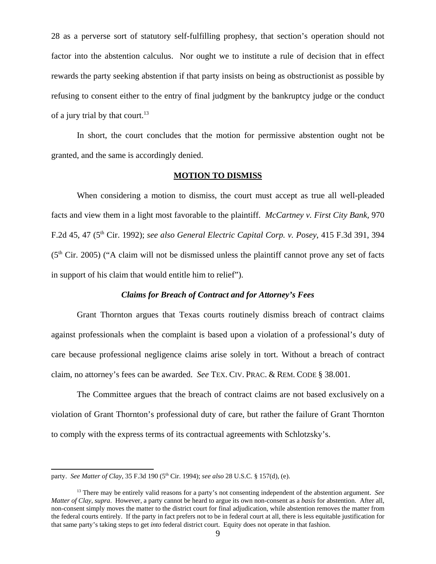28 as a perverse sort of statutory self-fulfilling prophesy, that section's operation should not factor into the abstention calculus. Nor ought we to institute a rule of decision that in effect rewards the party seeking abstention if that party insists on being as obstructionist as possible by refusing to consent either to the entry of final judgment by the bankruptcy judge or the conduct of a jury trial by that court. $^{13}$ 

In short, the court concludes that the motion for permissive abstention ought not be granted, and the same is accordingly denied.

#### **MOTION TO DISMISS**

When considering a motion to dismiss, the court must accept as true all well-pleaded facts and view them in a light most favorable to the plaintiff. *McCartney v. First City Bank,* 970 F.2d 45, 47 (5<sup>th</sup> Cir. 1992); *see also General Electric Capital Corp. v. Posey*, 415 F.3d 391, 394  $(5<sup>th</sup> Cir. 2005)$  ("A claim will not be dismissed unless the plaintiff cannot prove any set of facts in support of his claim that would entitle him to relief").

#### *Claims for Breach of Contract and for Attorney's Fees*

Grant Thornton argues that Texas courts routinely dismiss breach of contract claims against professionals when the complaint is based upon a violation of a professional's duty of care because professional negligence claims arise solely in tort. Without a breach of contract claim, no attorney's fees can be awarded. *See* TEX. CIV. PRAC. & REM. CODE § 38.001.

 The Committee argues that the breach of contract claims are not based exclusively on a violation of Grant Thornton's professional duty of care, but rather the failure of Grant Thornton to comply with the express terms of its contractual agreements with Schlotzsky's.

party. *See Matter of Clay*, 35 F.3d 190 (5<sup>th</sup> Cir. 1994); *see also* 28 U.S.C. § 157(d), (e).

<sup>13</sup> There may be entirely valid reasons for a party's not consenting independent of the abstention argument. *See Matter of Clay*, *supra*. However, a party cannot be heard to argue its own non-consent as a *basis* for abstention. After all, non-consent simply moves the matter to the district court for final adjudication, while abstention removes the matter from the federal courts entirely. If the party in fact prefers not to be in federal court at all, there is less equitable justification for that same party's taking steps to get *into* federal district court. Equity does not operate in that fashion.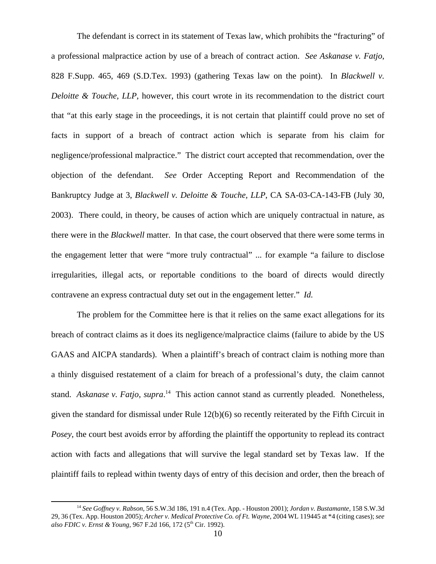The defendant is correct in its statement of Texas law, which prohibits the "fracturing" of a professional malpractice action by use of a breach of contract action. *See Askanase v. Fatjo*, 828 F.Supp. 465, 469 (S.D.Tex. 1993) (gathering Texas law on the point). In *Blackwell v. Deloitte & Touche, LLP*, however, this court wrote in its recommendation to the district court that "at this early stage in the proceedings, it is not certain that plaintiff could prove no set of facts in support of a breach of contract action which is separate from his claim for negligence/professional malpractice." The district court accepted that recommendation, over the objection of the defendant. *See* Order Accepting Report and Recommendation of the Bankruptcy Judge at 3, *Blackwell v. Deloitte & Touche, LLP*, CA SA-03-CA-143-FB (July 30, 2003). There could, in theory, be causes of action which are uniquely contractual in nature, as there were in the *Blackwell* matter. In that case, the court observed that there were some terms in the engagement letter that were "more truly contractual" ... for example "a failure to disclose irregularities, illegal acts, or reportable conditions to the board of directs would directly contravene an express contractual duty set out in the engagement letter." *Id.*

The problem for the Committee here is that it relies on the same exact allegations for its breach of contract claims as it does its negligence/malpractice claims (failure to abide by the US GAAS and AICPA standards). When a plaintiff's breach of contract claim is nothing more than a thinly disguised restatement of a claim for breach of a professional's duty, the claim cannot stand. *Askanase v. Fatjo*, *supra*. 14 This action cannot stand as currently pleaded. Nonetheless, given the standard for dismissal under Rule 12(b)(6) so recently reiterated by the Fifth Circuit in *Posey*, the court best avoids error by affording the plaintiff the opportunity to replead its contract action with facts and allegations that will survive the legal standard set by Texas law. If the plaintiff fails to replead within twenty days of entry of this decision and order, then the breach of

<sup>14</sup> *See Goffney v. Rabson,* 56 S.W.3d 186, 191 n.4 (Tex. App. - Houston 2001); *Jordan v. Bustamante,* 158 S.W.3d 29, 36 (Tex. App. Houston 2005); *Archer v. Medical Protective Co. of Ft. Wayne,* 2004 WL 119445 at \*4 (citing cases); *see also FDIC v. Ernst & Young,* 967 F.2d 166, 172 (5th Cir. 1992).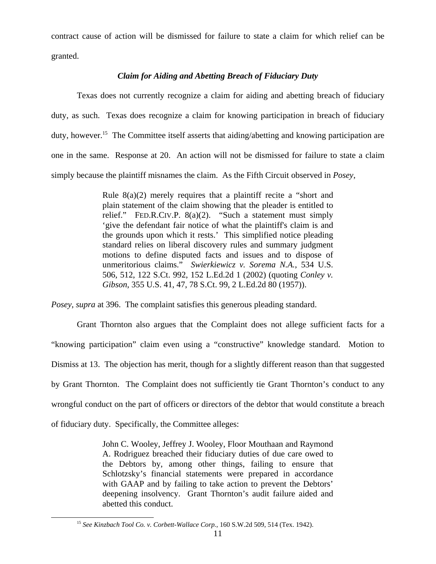contract cause of action will be dismissed for failure to state a claim for which relief can be granted.

# *Claim for Aiding and Abetting Breach of Fiduciary Duty*

Texas does not currently recognize a claim for aiding and abetting breach of fiduciary duty, as such. Texas does recognize a claim for knowing participation in breach of fiduciary duty, however.<sup>15</sup> The Committee itself asserts that aiding/abetting and knowing participation are one in the same. Response at 20. An action will not be dismissed for failure to state a claim simply because the plaintiff misnames the claim. As the Fifth Circuit observed in *Posey*,

> Rule  $8(a)(2)$  merely requires that a plaintiff recite a "short and plain statement of the claim showing that the pleader is entitled to relief." FED.R.CIV.P. 8(a)(2). "Such a statement must simply 'give the defendant fair notice of what the plaintiff's claim is and the grounds upon which it rests.' This simplified notice pleading standard relies on liberal discovery rules and summary judgment motions to define disputed facts and issues and to dispose of unmeritorious claims." *Swierkiewicz v. Sorema N.A.*, 534 U.S. 506, 512, 122 S.Ct. 992, 152 L.Ed.2d 1 (2002) (quoting *Conley v. Gibson*, 355 U.S. 41, 47, 78 S.Ct. 99, 2 L.Ed.2d 80 (1957)).

*Posey*, *supra* at 396. The complaint satisfies this generous pleading standard.

Grant Thornton also argues that the Complaint does not allege sufficient facts for a "knowing participation" claim even using a "constructive" knowledge standard. Motion to Dismiss at 13. The objection has merit, though for a slightly different reason than that suggested by Grant Thornton. The Complaint does not sufficiently tie Grant Thornton's conduct to any wrongful conduct on the part of officers or directors of the debtor that would constitute a breach of fiduciary duty. Specifically, the Committee alleges:

> John C. Wooley, Jeffrey J. Wooley, Floor Mouthaan and Raymond A. Rodriguez breached their fiduciary duties of due care owed to the Debtors by, among other things, failing to ensure that Schlotzsky's financial statements were prepared in accordance with GAAP and by failing to take action to prevent the Debtors' deepening insolvency. Grant Thornton's audit failure aided and abetted this conduct.

<sup>15</sup> *See Kinzbach Tool Co. v. Corbett-Wallace Corp.*, 160 S.W.2d 509, 514 (Tex. 1942).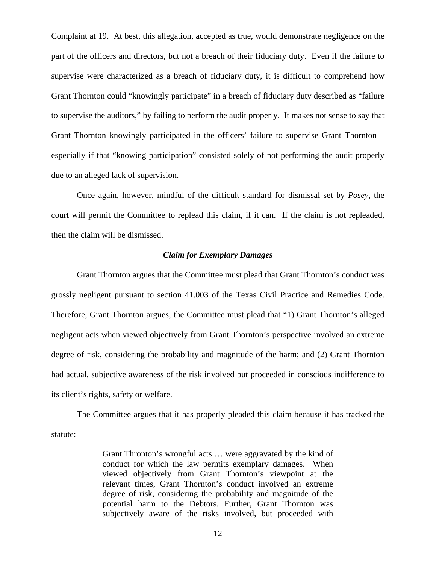Complaint at 19. At best, this allegation, accepted as true, would demonstrate negligence on the part of the officers and directors, but not a breach of their fiduciary duty. Even if the failure to supervise were characterized as a breach of fiduciary duty, it is difficult to comprehend how Grant Thornton could "knowingly participate" in a breach of fiduciary duty described as "failure to supervise the auditors," by failing to perform the audit properly. It makes not sense to say that Grant Thornton knowingly participated in the officers' failure to supervise Grant Thornton – especially if that "knowing participation" consisted solely of not performing the audit properly due to an alleged lack of supervision.

Once again, however, mindful of the difficult standard for dismissal set by *Posey*, the court will permit the Committee to replead this claim, if it can. If the claim is not repleaded, then the claim will be dismissed.

## *Claim for Exemplary Damages*

Grant Thornton argues that the Committee must plead that Grant Thornton's conduct was grossly negligent pursuant to section 41.003 of the Texas Civil Practice and Remedies Code. Therefore, Grant Thornton argues, the Committee must plead that "1) Grant Thornton's alleged negligent acts when viewed objectively from Grant Thornton's perspective involved an extreme degree of risk, considering the probability and magnitude of the harm; and (2) Grant Thornton had actual, subjective awareness of the risk involved but proceeded in conscious indifference to its client's rights, safety or welfare.

The Committee argues that it has properly pleaded this claim because it has tracked the statute:

> Grant Thronton's wrongful acts … were aggravated by the kind of conduct for which the law permits exemplary damages. When viewed objectively from Grant Thornton's viewpoint at the relevant times, Grant Thornton's conduct involved an extreme degree of risk, considering the probability and magnitude of the potential harm to the Debtors. Further, Grant Thornton was subjectively aware of the risks involved, but proceeded with